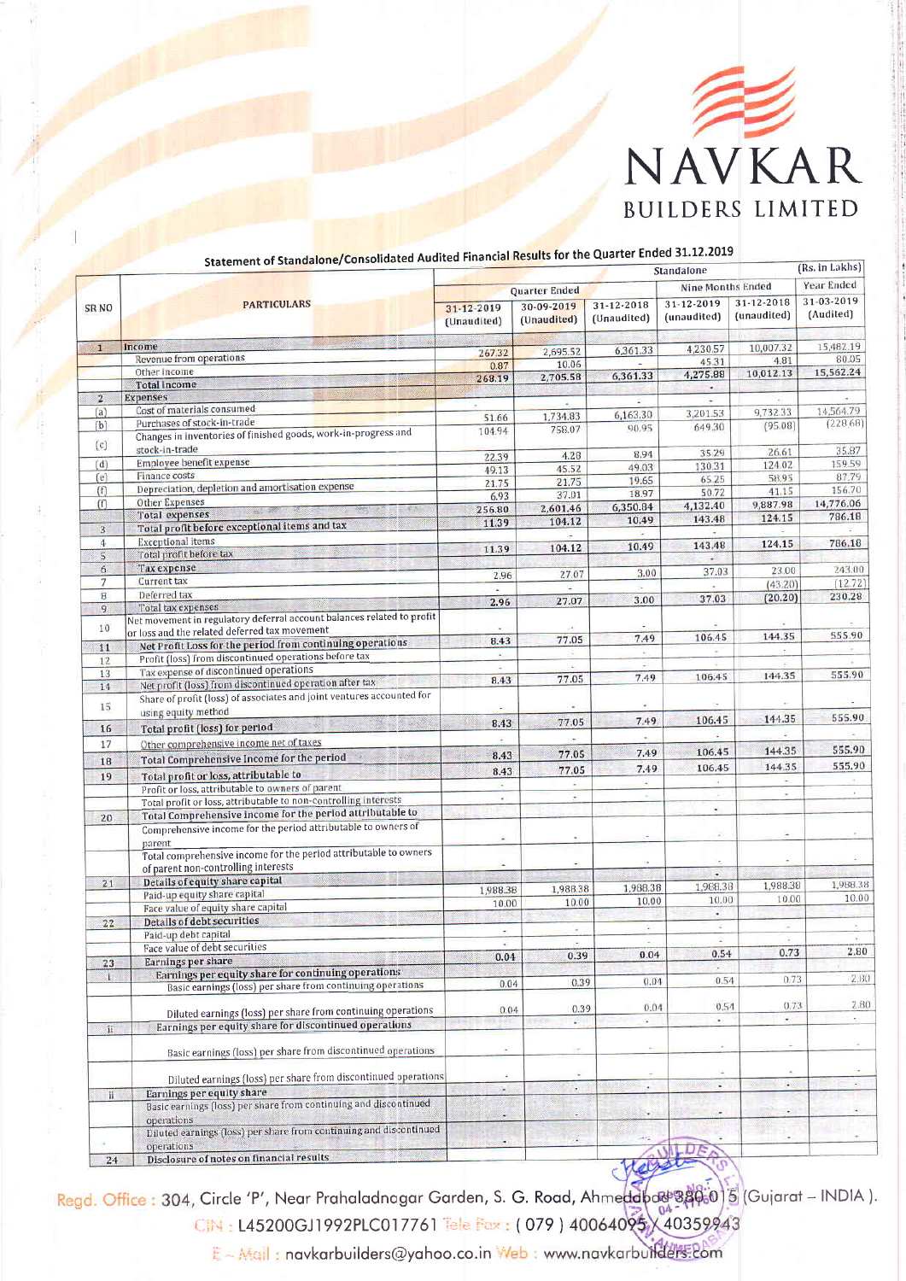

|                          | Statement of Standalone/Consolidated Audited Financial Results for the Quarter                                                                                                                                                                                                                                                                                                                                                                                                                                                                                                                                    | <b>Standalone</b>             |                                |                                 |                           |                             | (Rs. in Lakhs)          |
|--------------------------|-------------------------------------------------------------------------------------------------------------------------------------------------------------------------------------------------------------------------------------------------------------------------------------------------------------------------------------------------------------------------------------------------------------------------------------------------------------------------------------------------------------------------------------------------------------------------------------------------------------------|-------------------------------|--------------------------------|---------------------------------|---------------------------|-----------------------------|-------------------------|
| SR <sub>NO</sub>         | <b>PARTICULARS</b>                                                                                                                                                                                                                                                                                                                                                                                                                                                                                                                                                                                                | <b>Quarter Ended</b>          |                                |                                 | Nine Months Ended         |                             | Year Ended              |
|                          |                                                                                                                                                                                                                                                                                                                                                                                                                                                                                                                                                                                                                   | 31-12-2019<br>(Unaudited)     | 30-09-2019<br>(Unaudited)      | $31 - 12 - 2018$<br>(Unaudited) | 31-12-2019<br>(unaudited) | 31-12-2018<br>(unaudited)   | 31-03-2019<br>(Audited) |
| $\vert$ 1                | Income                                                                                                                                                                                                                                                                                                                                                                                                                                                                                                                                                                                                            |                               | 2,695.52                       | 6,361.33                        | 4,230.57                  | 10,007.32                   | 15,482.19               |
|                          | Revenue from operations                                                                                                                                                                                                                                                                                                                                                                                                                                                                                                                                                                                           | 267.32<br>0.87                | 10.06                          |                                 | 45.31                     | 4.81                        | 80.05                   |
|                          | Other income                                                                                                                                                                                                                                                                                                                                                                                                                                                                                                                                                                                                      | 268.19                        | 2,705.58                       | 6,361.33                        | 4,275.88                  | 10,012.13                   | 15,562.24               |
|                          | <b>Total income</b>                                                                                                                                                                                                                                                                                                                                                                                                                                                                                                                                                                                               |                               |                                |                                 |                           |                             |                         |
| $\overline{2}$           | <b>Expenses</b>                                                                                                                                                                                                                                                                                                                                                                                                                                                                                                                                                                                                   | ÷                             | ٠                              |                                 |                           | ×.                          |                         |
| (a)                      | Cost of materials consumed<br>Purchases of stock-in-trade                                                                                                                                                                                                                                                                                                                                                                                                                                                                                                                                                         | 51.66                         | 1,734.83                       | 6,163.30                        | 3,201.53                  | 9,732.33                    | 14.564.79               |
| (b)<br>(c)               | Changes in inventories of finished goods, work-in-progress and<br>stock-in-trade                                                                                                                                                                                                                                                                                                                                                                                                                                                                                                                                  | 104.94                        | 758.07                         | 90.95                           | 649.30                    | (95.08)                     | (228.68)                |
| (d)                      | Employee benefit expense                                                                                                                                                                                                                                                                                                                                                                                                                                                                                                                                                                                          | 22.39                         | 4.28                           | 8.94                            | 35.29                     | 26.61                       | 35.87<br>159.59         |
| (e)                      | <b>Finance costs</b>                                                                                                                                                                                                                                                                                                                                                                                                                                                                                                                                                                                              | 49.13                         | 45.52                          | 49.03                           | 130.31                    | 124 02<br>58.95             | 87.79                   |
| (f)                      | Depreciation, depletion and amortisation expense                                                                                                                                                                                                                                                                                                                                                                                                                                                                                                                                                                  | 21.75                         | 21.75                          | 19.65                           | 65.25<br>50.72            | 41.15                       | 156.70                  |
| (f)                      | <b>Other Expenses</b>                                                                                                                                                                                                                                                                                                                                                                                                                                                                                                                                                                                             | 6.93                          | 37.01                          | 18.97                           | 4,132.40                  | 9,887.98                    | 14,776.06               |
|                          | $\mathcal{L} \mathcal{L}$<br>$\frac{1}{2\pi\hbar\omega_{\rm{m}}}\frac{\partial\mathbf{g}}{\partial\mathbf{g}}\frac{\partial\mathbf{g}}{\partial\mathbf{g}}=\frac{\partial\mathbf{g}}{\partial\mathbf{g}}\frac{\partial\mathbf{g}}{\partial\mathbf{g}}\frac{\partial\mathbf{g}}{\partial\mathbf{g}}\frac{\partial\mathbf{g}}{\partial\mathbf{g}}\frac{\partial\mathbf{g}}{\partial\mathbf{g}}\frac{\partial\mathbf{g}}{\partial\mathbf{g}}\frac{\partial\mathbf{g}}{\partial\mathbf{g}}\frac{\partial\mathbf{g}}{\partial\mathbf{g}}\frac{\partial\mathbf{g}}{\partial\mathbf{g}}\frac{\$<br><b>Total expenses</b> | 256.80                        | 2,601.46                       | 6,350.84<br>10.49               | 143.48                    | 124.15                      | 786.18                  |
| 3 <sup>°</sup>           | Total profit before exceptional items and tax                                                                                                                                                                                                                                                                                                                                                                                                                                                                                                                                                                     | 11.39                         | 104.12                         | ÷.                              | $\sim$                    | $\sim$                      |                         |
| 4                        | <b>Exceptional items</b>                                                                                                                                                                                                                                                                                                                                                                                                                                                                                                                                                                                          | 11.39                         | 104.12                         | 10.49                           | 143.48                    | 124.15                      | 786.18                  |
| $5\overline{5}$          | Total profit before tax                                                                                                                                                                                                                                                                                                                                                                                                                                                                                                                                                                                           |                               |                                |                                 | $\rightarrow$             |                             |                         |
| 6                        | Tax expense                                                                                                                                                                                                                                                                                                                                                                                                                                                                                                                                                                                                       | 2.96                          | 27.07                          | 3.00                            | 37.03                     | 23.00                       | 243.00                  |
| 7                        | Current tax                                                                                                                                                                                                                                                                                                                                                                                                                                                                                                                                                                                                       | ú.                            | ÷                              | $\overline{\phantom{a}}$        |                           | (43.20)                     | (12.72)                 |
| $\mathbf{B}$             | Deferred tax                                                                                                                                                                                                                                                                                                                                                                                                                                                                                                                                                                                                      | 2.96                          | 27.07                          | 3.00                            | 37.03                     | (20.20)                     | 230.28                  |
| 9<br>10                  | Total tax expenses<br>Net movement in regulatory deferral account balances related to profit                                                                                                                                                                                                                                                                                                                                                                                                                                                                                                                      |                               |                                |                                 |                           |                             |                         |
|                          | or loss and the related deferred tax movement                                                                                                                                                                                                                                                                                                                                                                                                                                                                                                                                                                     | 8.43                          | 77.05                          | 7.49                            | 106.45                    | 144.35                      | 555.90                  |
| 11                       | Net Profit Loss for the period from continuing operations<br>Profit (loss) from discontinued operations before tax                                                                                                                                                                                                                                                                                                                                                                                                                                                                                                | $\omega$                      | Q,                             | Ŧ.                              | $\overline{a}$            | $\sim$                      |                         |
| 12                       | Tax expense of discontinued operations                                                                                                                                                                                                                                                                                                                                                                                                                                                                                                                                                                            |                               |                                |                                 |                           | $\sim$                      |                         |
| 13                       | Net profit (loss) from discontinued operation after tax                                                                                                                                                                                                                                                                                                                                                                                                                                                                                                                                                           | 8.43                          | 77.05                          | 7.49                            | 106.45                    | 144.35                      | 555.90                  |
| 14<br>15                 | Share of profit (loss) of associates and joint ventures accounted for                                                                                                                                                                                                                                                                                                                                                                                                                                                                                                                                             |                               |                                | C.                              |                           |                             |                         |
|                          | using equity method                                                                                                                                                                                                                                                                                                                                                                                                                                                                                                                                                                                               | 8.43                          | 77.05                          | 7.49                            | 106.45                    | 144.35                      | 555.90                  |
| 16                       | <b>Total profit (loss) for period</b>                                                                                                                                                                                                                                                                                                                                                                                                                                                                                                                                                                             |                               | ×.                             | $\sim$                          |                           |                             |                         |
| 17                       | Other comprehensive income net of taxes                                                                                                                                                                                                                                                                                                                                                                                                                                                                                                                                                                           |                               |                                | 7.49                            | 106.45                    | 144.35                      | 555.90                  |
| 18                       | Total Comprehensive Income for the period                                                                                                                                                                                                                                                                                                                                                                                                                                                                                                                                                                         | 8.43                          | 77.05                          |                                 | 106.45                    | 144.35                      | 555.90                  |
| 19                       | Total profit or loss, attributable to                                                                                                                                                                                                                                                                                                                                                                                                                                                                                                                                                                             | 8.43                          | 77.05                          | 7.49<br>$\sim$                  | ä,                        | ¥                           |                         |
|                          | Profit or loss, attributable to owners of parent                                                                                                                                                                                                                                                                                                                                                                                                                                                                                                                                                                  | ÷                             | $\sim$<br>$\mathcal{F}$        | ٠                               | ٠                         | ÷                           | ÷.                      |
|                          | Total profit or loss, attributable to non-controlling interests                                                                                                                                                                                                                                                                                                                                                                                                                                                                                                                                                   | ÷                             |                                |                                 | $\epsilon$                |                             |                         |
| 20                       | Total Comprehensive income for the period attributable to                                                                                                                                                                                                                                                                                                                                                                                                                                                                                                                                                         |                               |                                |                                 |                           |                             |                         |
|                          | Comprehensive income for the period attributable to owners of<br>parent                                                                                                                                                                                                                                                                                                                                                                                                                                                                                                                                           | $\bullet$                     |                                |                                 |                           | ÷                           |                         |
|                          | Total comprehensive income for the period attributable to owners<br>of parent non-controlling interests                                                                                                                                                                                                                                                                                                                                                                                                                                                                                                           | $\sim$                        |                                |                                 |                           |                             |                         |
| 21                       | Details of equity share capital                                                                                                                                                                                                                                                                                                                                                                                                                                                                                                                                                                                   |                               |                                | 1,988.38                        | 1,988.38                  | 1,988.38                    | 1,988.38                |
|                          | Paid-up equity share capital                                                                                                                                                                                                                                                                                                                                                                                                                                                                                                                                                                                      | 1,988.38                      | 1,988.38                       | 10.00                           | 10.00                     | 10.00                       | 10.00                   |
|                          | Face value of equity share capital                                                                                                                                                                                                                                                                                                                                                                                                                                                                                                                                                                                | 10.00                         | 10.00                          |                                 | ٠                         |                             |                         |
| 22                       | Details of debt securities                                                                                                                                                                                                                                                                                                                                                                                                                                                                                                                                                                                        | ÷.                            | $\alpha$                       | a,                              | $\overline{\psi}$         | ÷.                          |                         |
|                          | Paid-up debt capital                                                                                                                                                                                                                                                                                                                                                                                                                                                                                                                                                                                              |                               |                                |                                 |                           |                             |                         |
|                          | Face value of debt securities                                                                                                                                                                                                                                                                                                                                                                                                                                                                                                                                                                                     | 0.04                          | 0.39                           | 0.04                            | 0.54                      | 0.73                        | 2.80                    |
| 23                       | Earnings per share                                                                                                                                                                                                                                                                                                                                                                                                                                                                                                                                                                                                |                               |                                |                                 |                           |                             |                         |
| $\mathbf{1}$             | Earnings per equity share for continuing operations<br>Basic earnings (loss) per share from continuing operations                                                                                                                                                                                                                                                                                                                                                                                                                                                                                                 | 0.04                          | 0.39                           | 0.04                            | 0.54                      | 0.73                        | 2.80                    |
|                          |                                                                                                                                                                                                                                                                                                                                                                                                                                                                                                                                                                                                                   | 0.04                          | 0.39                           | 0.04                            | 0.54                      | 0.73                        | 2.80                    |
|                          | Diluted earnings (loss) per share from continuing operations                                                                                                                                                                                                                                                                                                                                                                                                                                                                                                                                                      |                               | c.                             | ¥.                              | $\bullet$                 |                             | ٣J.                     |
| $\overline{\mathbf{11}}$ | Earnings per equity share for discontinued operations                                                                                                                                                                                                                                                                                                                                                                                                                                                                                                                                                             |                               |                                | $\sim$                          |                           | Ξ                           |                         |
|                          | Basic earnings (loss) per share from discontinued operations                                                                                                                                                                                                                                                                                                                                                                                                                                                                                                                                                      | $\omega$                      | ×.                             |                                 |                           |                             |                         |
| $\,$ II                  | Diluted earnings (loss) per share from discontinued operations<br>Earnings per equity share                                                                                                                                                                                                                                                                                                                                                                                                                                                                                                                       | ÷<br>$\overline{\phantom{a}}$ | $\overline{\phantom{a}}$<br>۰. | £<br>٠                          | $\omega$                  | $\mathcal{L}_{\mathcal{A}}$ | ÷.                      |
|                          | Basic earnings (loss) per share from continuing and discontinued<br>operations                                                                                                                                                                                                                                                                                                                                                                                                                                                                                                                                    | $\overline{\phantom{a}}$      |                                |                                 |                           | ×.                          |                         |
|                          | Diluted earnings (loss) per share from continuing and discontinued<br>operations                                                                                                                                                                                                                                                                                                                                                                                                                                                                                                                                  |                               | G.                             |                                 |                           | $\bullet$                   |                         |
| 7.4                      | Disclosure of notes on financial results                                                                                                                                                                                                                                                                                                                                                                                                                                                                                                                                                                          |                               |                                |                                 |                           |                             |                         |

## Statement of Standalone/Consolidated Audited Financial Results for the Quarter Ended 31.12.2019

Regd. Office: 304, Circle 'P', Near Prahaladnagar Garden, S. G. Road, Ahmeddpace \$46.0 5 (Gujarat – INDIA).<br>CIN: L45200GJ1992PLC017761 Tele Fax: (079) 40064095 (40359943

E - Mail: navkarbuilders@yahoo.co.in Web: www.navkarbuilders.20m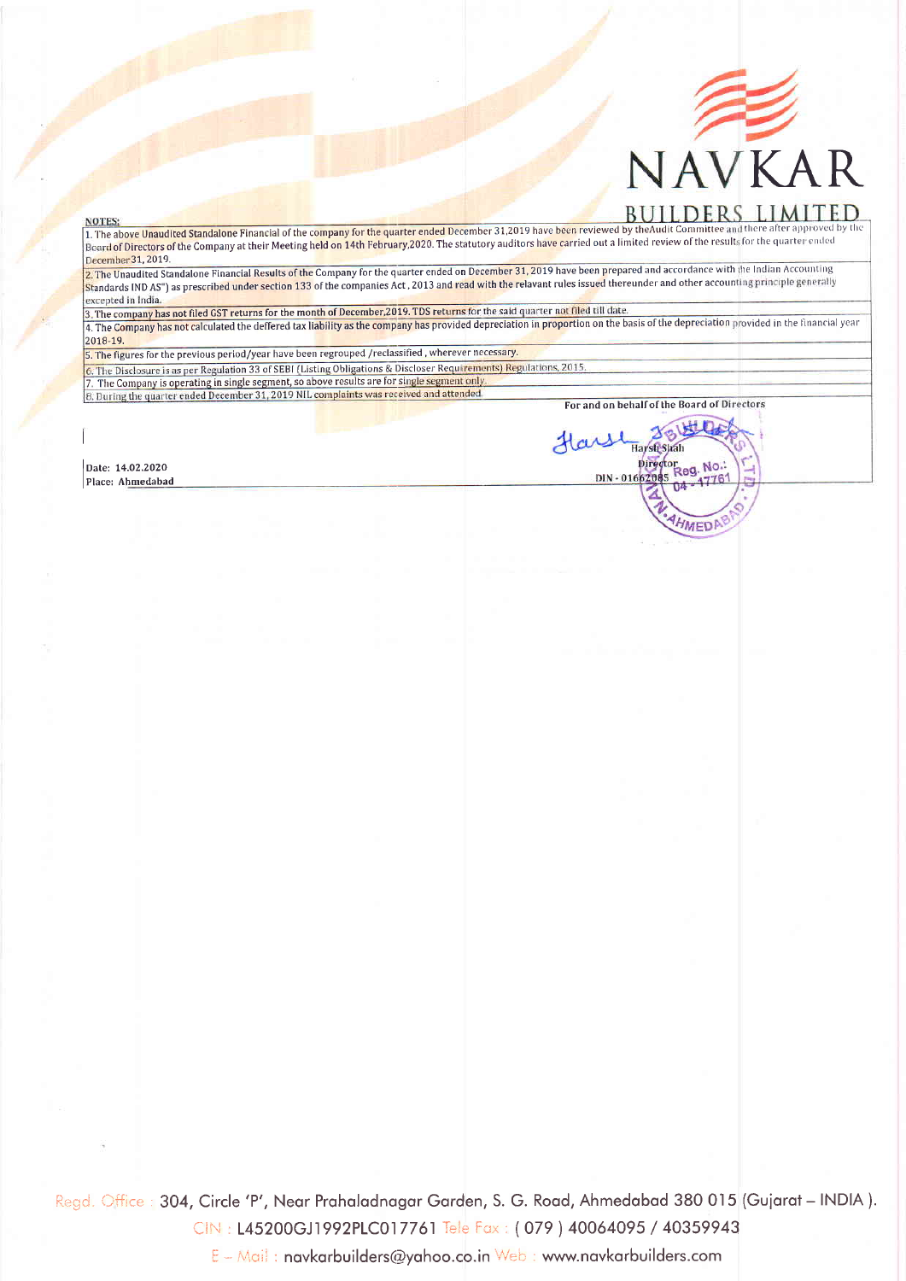

## **NOTES:**

1. The above Unaudited Standalone Financial of the company for the quarter ended December 31,2019 have been reviewed by the Audit Committee and there after approved by the Board of Directors of the Company at their Meeting December 31, 2019.

2. The Unaudited Standalone Financial Results of the Company for the quarter ended on December 31, 2019 have been prepared and accordance with the Indian Accounting Standards IND AS") as prescribed under section 133 of the companies Act , 2013 and read with the relavant rules issued thereunder and other accounting principle generally excepted in India

3. The company has not filed GST returns for the month of December, 2019. TDS returns for the said quarter not filed till date.

4. The Company has not calculated the deffered tax liability as the company has provided depreciation in proportion on the basis of the depreciation provided in the financial year 2018-19.

5. The figures for the previous period/year have been regrouped /reclassified, wherever necessary.

6. The Disclosure is as per Regulation 33 of SEBI (Listing Obligations & Discloser Requirements) Regulations, 2015 The Company is operating in single segment, so above results are for single segment only. 8. During the quarter ended December 31, 2019 NIL complaints was received and attended

For and on behalf of the Board of Directors

Harsh Shah Director Reg. No.

DIN-016626

Hars

8015-00

**OA** 

AHMEDA

1776

Date: 14.02.2020 Place: Ahmedabad

Regd. Office: 304, Circle 'P', Near Prahaladnagar Garden, S. G. Road, Ahmedabad 380 015 (Gujarat - INDIA). CIN: L45200GJ1992PLC017761 Tele Fax: (079) 40064095 / 40359943 E - Mail: navkarbuilders@yahoo.co.in Web: www.navkarbuilders.com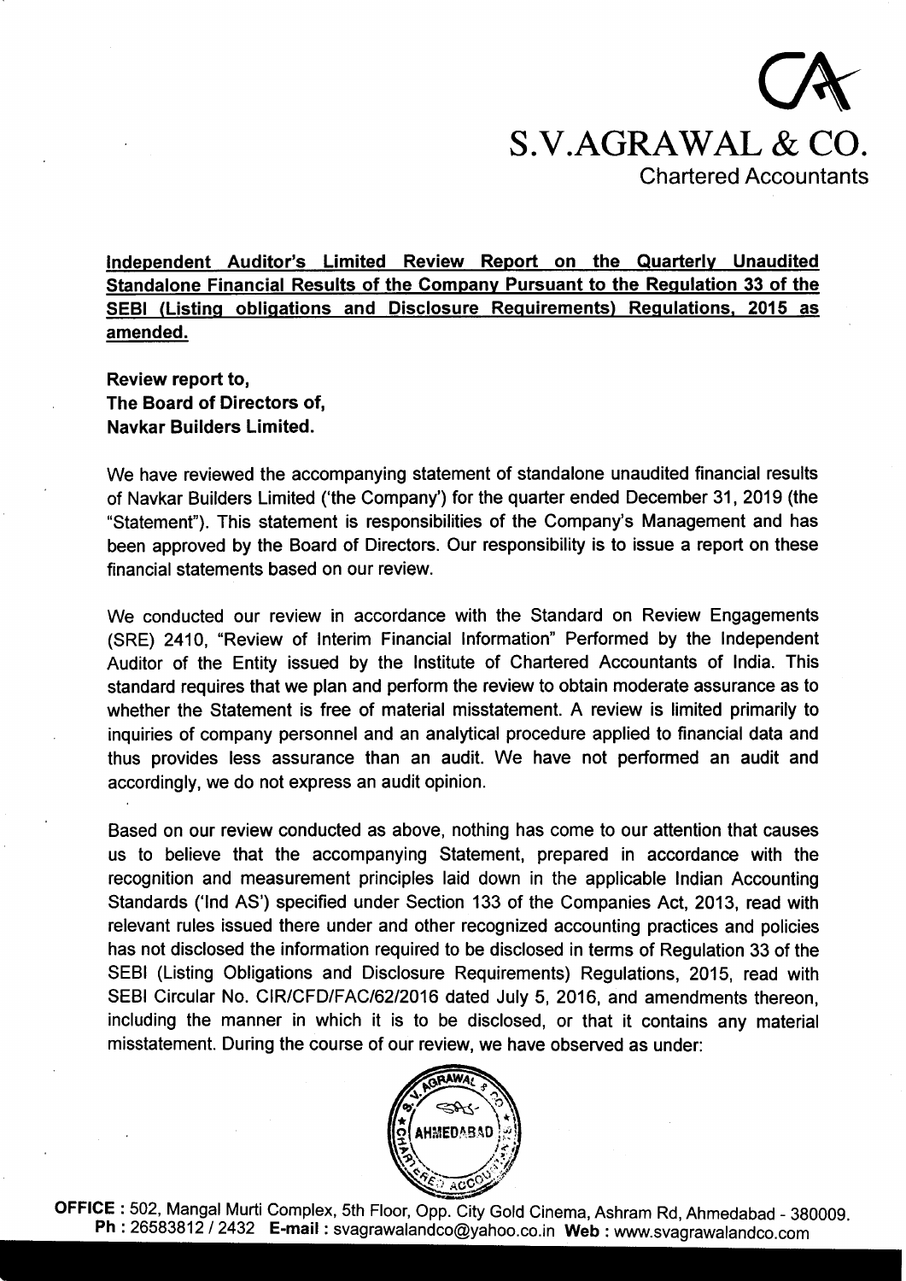

lndependent Auditor's Limited Review Report on the Quarterlv Unaudited Standalone Financial Results of the Companv Pursuant to the Requlation 33 of the SEBI (Listinq obliqations and Disclosure Requirements) Requlations. 2015 as amended.

Review report to, The Board of Directors of, Navkar Builders Limited.

We have reviewed the accompanying statement of standalone unaudited financial results of Navkar Builders Limited ('the Company') for the quarter ended December 31,2019 (the "statement"). This statement is responsibilities of the Company's Management and has been approved by the Board of Directors. Our responsibility is to issue a report on these financial statements based on our review.

We conducted our review in accordance with the Standard on Review Engagements (SRE) 2410, "Review of lnterim Financial lnformation" Performed by the lndependent Auditor of the Entity issued by the lnstitute of Chartered Accountants of lndia. This standard requires that we plan and perform the review to obtain moderate assurance as to whether the Statement is free of material misstatement. A review is limited primarily to inquiries of company personnel and an analytical procedure applied to financial data and thus provides less assurance than an audit. We have not performed an audit and accordingly, we do not express an audit opinion.

Based on our review conducted as above, nothing has come to our attention that causes us to believe that the accompanying Statement, prepared in accordance with the recognition and measurement principles laid down in the applicable lndian Accounting Standards ('lnd AS') specified under Section 133 of the Companies Act, 2013, read with relevant rules issued there under and other recognized accounting practices and policies has not disclosed the information required to be disclosed in terms of Regulation 33 of the SEBI (Listing Obligations and Disclosure Requirements) Regulations, 2015, read with SEBI Circular No. CIR/CFD/FAC/62/2016 dated July 5, 2016, and amendments thereon, including the manner in which it is to be disclosed, or that it contains any material misstatement. During the course of our review, we have observed as under:



OFFICE : 502, Mangal Murti Complex, 5th Floor, Opp. City Gold Cinema, Ashram Rd, Ahmedabad - 380009. Ph : 26583812 / 2432 E-mail : svagrawalandco@yahoo.co.in Web : www.svagrawalandco.com